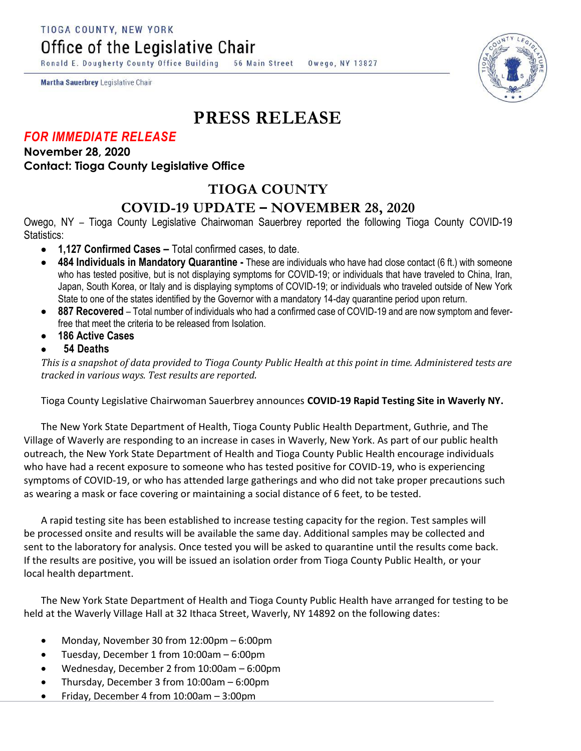TIOGA COUNTY, NEW YORK

Office of the Legislative Chair

Ronald E. Dougherty County Office Building 56 Main Street Owego, NY 13827

Martha Sauerbrey Legislative Chair

## **PRESS RELEASE**

## *FOR IMMEDIATE RELEASE*

**November 28, 2020 Contact: Tioga County Legislative Office**

## **TIOGA COUNTY**

## **COVID-19 UPDATE – NOVEMBER 28, 2020**

Owego, NY – Tioga County Legislative Chairwoman Sauerbrey reported the following Tioga County COVID-19 Statistics:

- **1,127 Confirmed Cases –** Total confirmed cases, to date.
- **484 Individuals in Mandatory Quarantine -** These are individuals who have had close contact (6 ft.) with someone who has tested positive, but is not displaying symptoms for COVID-19; or individuals that have traveled to China, Iran, Japan, South Korea, or Italy and is displaying symptoms of COVID-19; or individuals who traveled outside of New York State to one of the states identified by the Governor with a mandatory 14-day quarantine period upon return.
- **887 Recovered**  Total number of individuals who had a confirmed case of COVID-19 and are now symptom and feverfree that meet the criteria to be released from Isolation.
- **186 Active Cases**
- **54 Deaths**

*This is a snapshot of data provided to Tioga County Public Health at this point in time. Administered tests are tracked in various ways. Test results are reported.*

Tioga County Legislative Chairwoman Sauerbrey announces **COVID-19 Rapid Testing Site in Waverly NY.**

The New York State Department of Health, Tioga County Public Health Department, Guthrie, and The Village of Waverly are responding to an increase in cases in Waverly, New York. As part of our public health outreach, the New York State Department of Health and Tioga County Public Health encourage individuals who have had a recent exposure to someone who has tested positive for COVID-19, who is experiencing symptoms of COVID-19, or who has attended large gatherings and who did not take proper precautions such as wearing a mask or face covering or maintaining a social distance of 6 feet, to be tested.

A rapid testing site has been established to increase testing capacity for the region. Test samples will be processed onsite and results will be available the same day. Additional samples may be collected and sent to the laboratory for analysis. Once tested you will be asked to quarantine until the results come back. If the results are positive, you will be issued an isolation order from Tioga County Public Health, or your local health department.

The New York State Department of Health and Tioga County Public Health have arranged for testing to be held at the Waverly Village Hall at 32 Ithaca Street, Waverly, NY 14892 on the following dates:

- Monday, November 30 from 12:00pm 6:00pm
- Tuesday, December 1 from 10:00am 6:00pm
- Wednesday, December 2 from 10:00am 6:00pm
- Thursday, December 3 from 10:00am 6:00pm
- Friday, December 4 from 10:00am 3:00pm